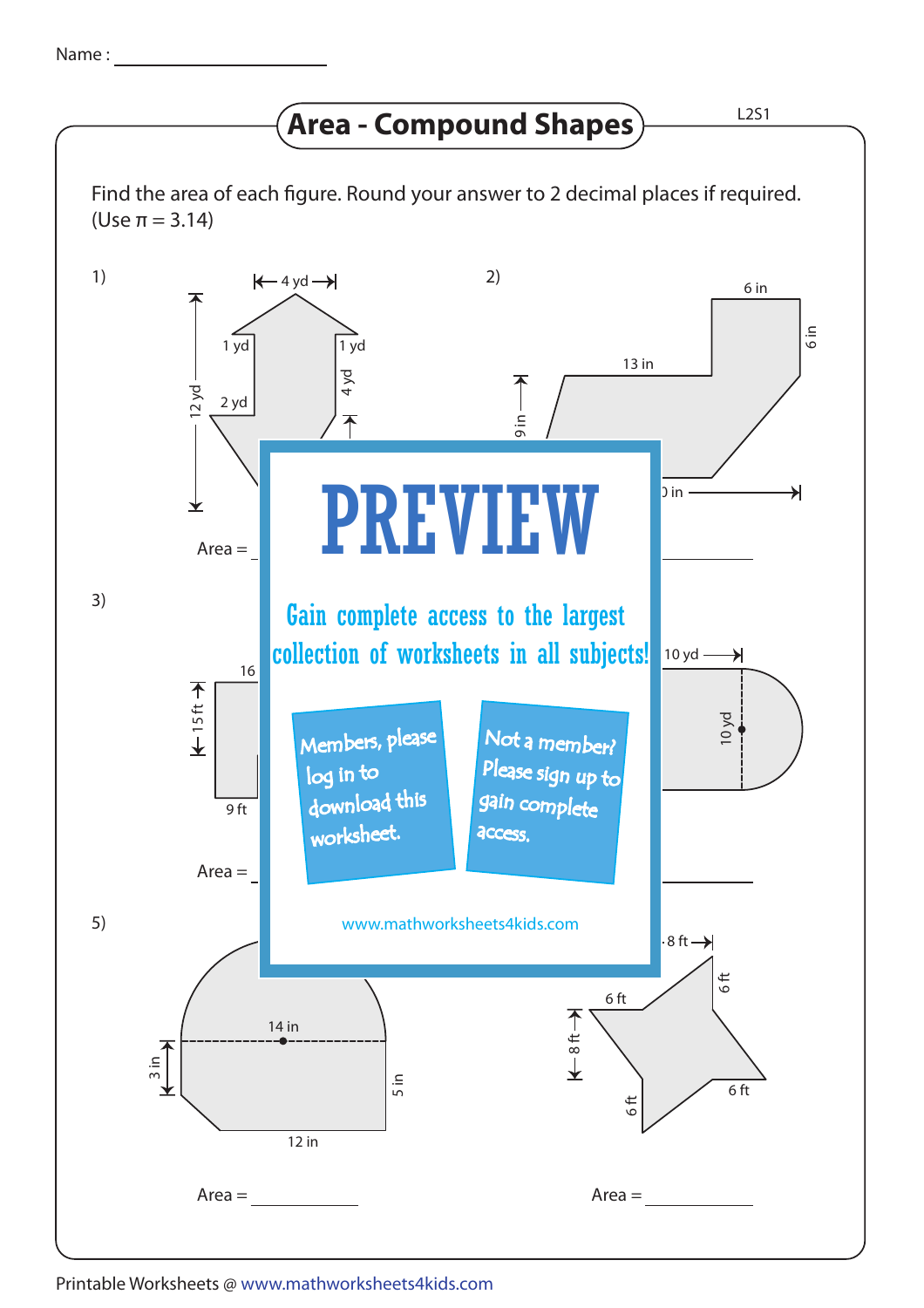## **Area - Compound Shapes**  $\frac{L2S1}{L2S1}$



## Printable Worksheets @ www.mathworksheets4kids.com